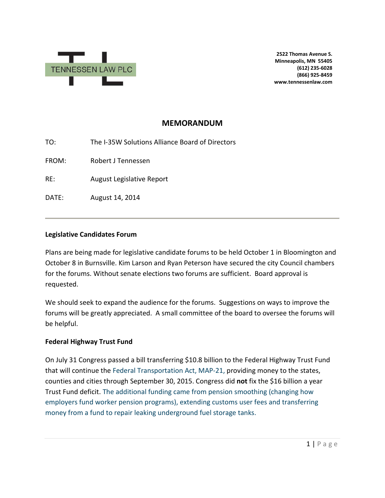

**2522 Thomas Avenue S. Minneapolis, MN 55405 (612) 235-6028 (866) 925-8459 www.tennessenlaw.com**

# **MEMORANDUM**

TO: The I-35W Solutions Alliance Board of Directors

FROM: Robert J Tennessen

RE: August Legislative Report

DATE: August 14, 2014

#### **Legislative Candidates Forum**

Plans are being made for legislative candidate forums to be held October 1 in Bloomington and October 8 in Burnsville. Kim Larson and Ryan Peterson have secured the city Council chambers for the forums. Without senate elections two forums are sufficient. Board approval is requested.

We should seek to expand the audience for the forums. Suggestions on ways to improve the forums will be greatly appreciated. A small committee of the board to oversee the forums will be helpful.

### **Federal Highway Trust Fund**

On July 31 Congress passed a bill transferring \$10.8 billion to the Federal Highway Trust Fund that will continue the Federal Transportation Act, MAP-21, providing money to the states, counties and cities through September 30, 2015. Congress did **not** fix the \$16 billion a year Trust Fund deficit. The additional funding came from pension smoothing (changing how employers fund worker pension programs), extending customs user fees and transferring money from a fund to repair leaking underground fuel storage tanks.